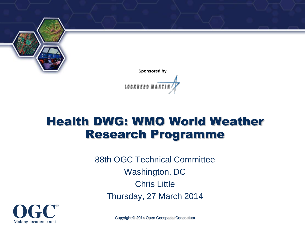

### Health DWG: WMO World Weather Research Programme

88th OGC Technical Committee Washington, DC Chris Little Thursday, 27 March 2014



Copyright © 2014 Open Geospatial Consortium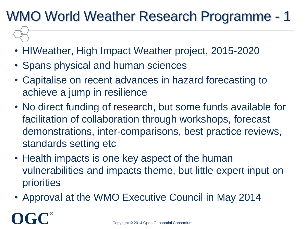# WMO World Weather Research Programme - 1

- HIWeather, High Impact Weather project, 2015-2020
- Spans physical and human sciences
- Capitalise on recent advances in hazard forecasting to achieve a jump in resilience
- No direct funding of research, but some funds available for facilitation of collaboration through workshops, forecast demonstrations, inter-comparisons, best practice reviews, standards setting etc
- Health impacts is one key aspect of the human vulnerabilities and impacts theme, but little expert input on priorities
- Approval at the WMO Executive Council in May 2014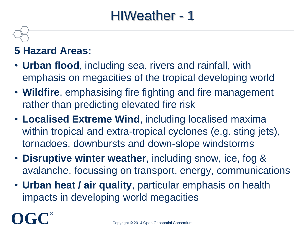### HIWeather - 1

#### **5 Hazard Areas:**

- **Urban flood**, including sea, rivers and rainfall, with emphasis on megacities of the tropical developing world
- **Wildfire**, emphasising fire fighting and fire management rather than predicting elevated fire risk
- **Localised Extreme Wind**, including localised maxima within tropical and extra-tropical cyclones (e.g. sting jets), tornadoes, downbursts and down-slope windstorms
- **Disruptive winter weather**, including snow, ice, fog & avalanche, focussing on transport, energy, communications
- **Urban heat / air quality**, particular emphasis on health impacts in developing world megacities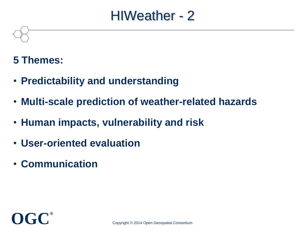### HIWeather - 2

#### **5 Themes:**

- **Predictability and understanding**
- **Multi-scale prediction of weather-related hazards**
- **Human impacts, vulnerability and risk**
- **User-oriented evaluation**
- **Communication**

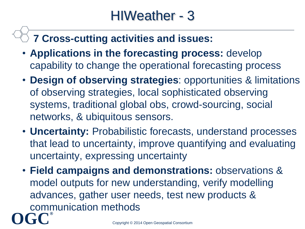### **7 Cross-cutting activities and issues:**

- **Applications in the forecasting process:** develop capability to change the operational forecasting process
- **Design of observing strategies**: opportunities & limitations of observing strategies, local sophisticated observing systems, traditional global obs, crowd-sourcing, social networks, & ubiquitous sensors.
- **Uncertainty:** Probabilistic forecasts, understand processes that lead to uncertainty, improve quantifying and evaluating uncertainty, expressing uncertainty
- **OGC®** • **Field campaigns and demonstrations:** observations & model outputs for new understanding, verify modelling advances, gather user needs, test new products & communication methods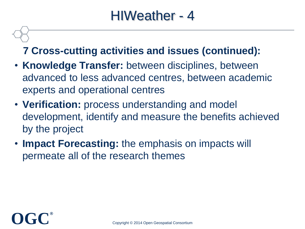### HIWeather - 4

#### **7 Cross-cutting activities and issues (continued):**

- **Knowledge Transfer:** between disciplines, between advanced to less advanced centres, between academic experts and operational centres
- **Verification:** process understanding and model development, identify and measure the benefits achieved by the project
- **Impact Forecasting:** the emphasis on impacts will permeate all of the research themes

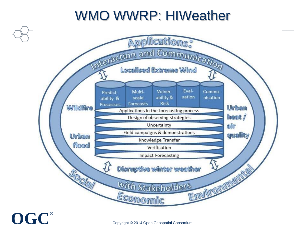## WMO WWRP: HIWeather